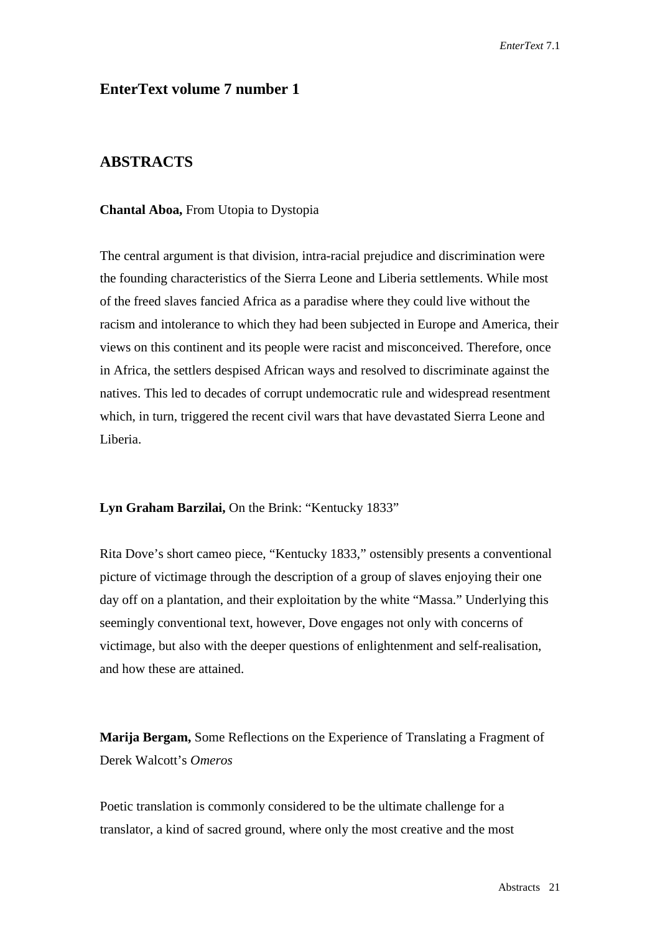# **EnterText volume 7 number 1**

# **ABSTRACTS**

#### **Chantal Aboa,** From Utopia to Dystopia

The central argument is that division, intra-racial prejudice and discrimination were the founding characteristics of the Sierra Leone and Liberia settlements. While most of the freed slaves fancied Africa as a paradise where they could live without the racism and intolerance to which they had been subjected in Europe and America, their views on this continent and its people were racist and misconceived. Therefore, once in Africa, the settlers despised African ways and resolved to discriminate against the natives. This led to decades of corrupt undemocratic rule and widespread resentment which, in turn, triggered the recent civil wars that have devastated Sierra Leone and Liberia.

### **Lyn Graham Barzilai,** On the Brink: "Kentucky 1833"

Rita Dove's short cameo piece, "Kentucky 1833," ostensibly presents a conventional picture of victimage through the description of a group of slaves enjoying their one day off on a plantation, and their exploitation by the white "Massa." Underlying this seemingly conventional text, however, Dove engages not only with concerns of victimage, but also with the deeper questions of enlightenment and self-realisation, and how these are attained.

**Marija Bergam,** Some Reflections on the Experience of Translating a Fragment of Derek Walcott's *Omeros*

Poetic translation is commonly considered to be the ultimate challenge for a translator, a kind of sacred ground, where only the most creative and the most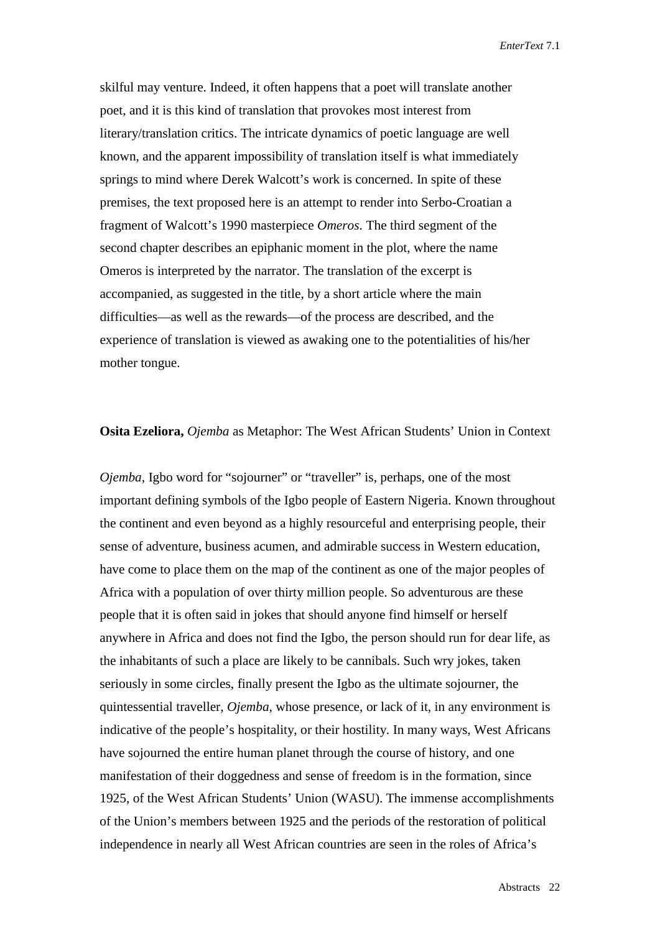*EnterText* 7.1

skilful may venture. Indeed, it often happens that a poet will translate another poet, and it is this kind of translation that provokes most interest from literary/translation critics. The intricate dynamics of poetic language are well known, and the apparent impossibility of translation itself is what immediately springs to mind where Derek Walcott's work is concerned. In spite of these premises, the text proposed here is an attempt to render into Serbo-Croatian a fragment of Walcott's 1990 masterpiece *Omeros*. The third segment of the second chapter describes an epiphanic moment in the plot, where the name Omeros is interpreted by the narrator. The translation of the excerpt is accompanied, as suggested in the title, by a short article where the main difficulties—as well as the rewards—of the process are described, and the experience of translation is viewed as awaking one to the potentialities of his/her mother tongue.

### **Osita Ezeliora,** *Ojemba* as Metaphor: The West African Students' Union in Context

*Ojemba*, Igbo word for "sojourner" or "traveller" is, perhaps, one of the most important defining symbols of the Igbo people of Eastern Nigeria. Known throughout the continent and even beyond as a highly resourceful and enterprising people, their sense of adventure, business acumen, and admirable success in Western education, have come to place them on the map of the continent as one of the major peoples of Africa with a population of over thirty million people. So adventurous are these people that it is often said in jokes that should anyone find himself or herself anywhere in Africa and does not find the Igbo, the person should run for dear life, as the inhabitants of such a place are likely to be cannibals. Such wry jokes, taken seriously in some circles, finally present the Igbo as the ultimate sojourner, the quintessential traveller, *Ojemba,* whose presence, or lack of it, in any environment is indicative of the people's hospitality, or their hostility. In many ways, West Africans have sojourned the entire human planet through the course of history, and one manifestation of their doggedness and sense of freedom is in the formation, since 1925, of the West African Students' Union (WASU). The immense accomplishments of the Union's members between 1925 and the periods of the restoration of political independence in nearly all West African countries are seen in the roles of Africa's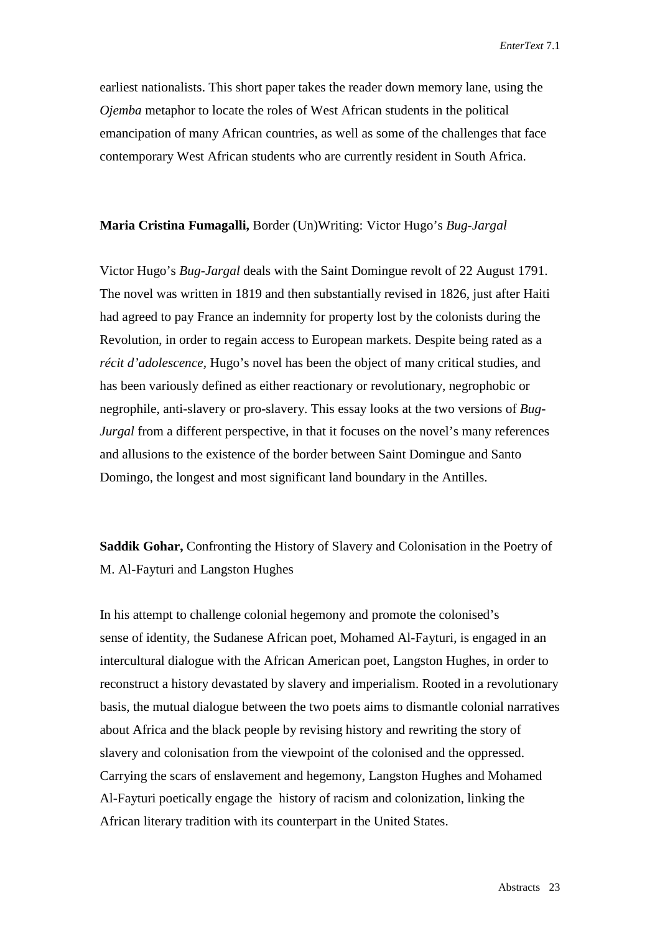earliest nationalists. This short paper takes the reader down memory lane, using the *Ojemba* metaphor to locate the roles of West African students in the political emancipation of many African countries, as well as some of the challenges that face contemporary West African students who are currently resident in South Africa.

## **Maria Cristina Fumagalli,** Border (Un)Writing: Victor Hugo's *Bug-Jargal*

Victor Hugo's *Bug-Jargal* deals with the Saint Domingue revolt of 22 August 1791. The novel was written in 1819 and then substantially revised in 1826, just after Haiti had agreed to pay France an indemnity for property lost by the colonists during the Revolution, in order to regain access to European markets. Despite being rated as a *récit d'adolescence,* Hugo's novel has been the object of many critical studies, and has been variously defined as either reactionary or revolutionary, negrophobic or negrophile, anti-slavery or pro-slavery. This essay looks at the two versions of *Bug-Jurgal* from a different perspective, in that it focuses on the novel's many references and allusions to the existence of the border between Saint Domingue and Santo Domingo, the longest and most significant land boundary in the Antilles.

**Saddik Gohar,** Confronting the History of Slavery and Colonisation in the Poetry of M. Al-Fayturi and Langston Hughes

In his attempt to challenge colonial hegemony and promote the colonised's sense of identity, the Sudanese African poet, Mohamed Al-Fayturi, is engaged in an intercultural dialogue with the African American poet, Langston Hughes, in order to reconstruct a history devastated by slavery and imperialism. Rooted in a revolutionary basis, the mutual dialogue between the two poets aims to dismantle colonial narratives about Africa and the black people by revising history and rewriting the story of slavery and colonisation from the viewpoint of the colonised and the oppressed. Carrying the scars of enslavement and hegemony, Langston Hughes and Mohamed Al-Fayturi poetically engage the history of racism and colonization, linking the African literary tradition with its counterpart in the United States.